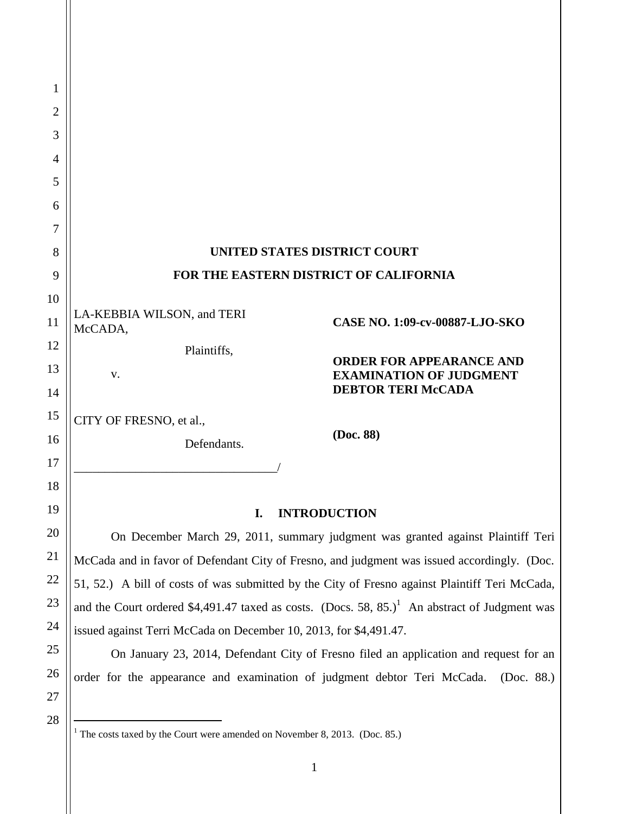| 1        |                                                                                                           |
|----------|-----------------------------------------------------------------------------------------------------------|
| 2        |                                                                                                           |
| 3        |                                                                                                           |
| 4        |                                                                                                           |
| 5        |                                                                                                           |
| 6        |                                                                                                           |
| 7        |                                                                                                           |
| 8        | UNITED STATES DISTRICT COURT                                                                              |
| 9        | FOR THE EASTERN DISTRICT OF CALIFORNIA                                                                    |
| 10       |                                                                                                           |
| 11       | LA-KEBBIA WILSON, and TERI<br>CASE NO. 1:09-cv-00887-LJO-SKO<br>McCADA,                                   |
| 12       | Plaintiffs,<br><b>ORDER FOR APPEARANCE AND</b>                                                            |
| 13       | <b>EXAMINATION OF JUDGMENT</b><br>v.<br><b>DEBTOR TERI McCADA</b>                                         |
| 14       |                                                                                                           |
| 15       | CITY OF FRESNO, et al.,<br>(Doc. 88)                                                                      |
| 16<br>17 | Defendants.                                                                                               |
| 18       |                                                                                                           |
| 19       |                                                                                                           |
| 20       | <b>INTRODUCTION</b><br>I.                                                                                 |
|          | On December March 29, 2011, summary judgment was granted against Plaintiff Teri                           |
| 21       | McCada and in favor of Defendant City of Fresno, and judgment was issued accordingly. (Doc.               |
| 22       | 51, 52.) A bill of costs of was submitted by the City of Fresno against Plaintiff Teri McCada,            |
| 23       | and the Court ordered \$4,491.47 taxed as costs. (Docs. 58, 85.) <sup>1</sup> An abstract of Judgment was |
| 24       | issued against Terri McCada on December 10, 2013, for \$4,491.47.                                         |
| 25       | On January 23, 2014, Defendant City of Fresno filed an application and request for an                     |
| 26       | order for the appearance and examination of judgment debtor Teri McCada.<br>(Doc. $88.$ )                 |
| 27       |                                                                                                           |
| 28       | <sup>1</sup> The costs taxed by the Court were amended on November 8, 2013. (Doc. 85.)                    |

<sup>1</sup>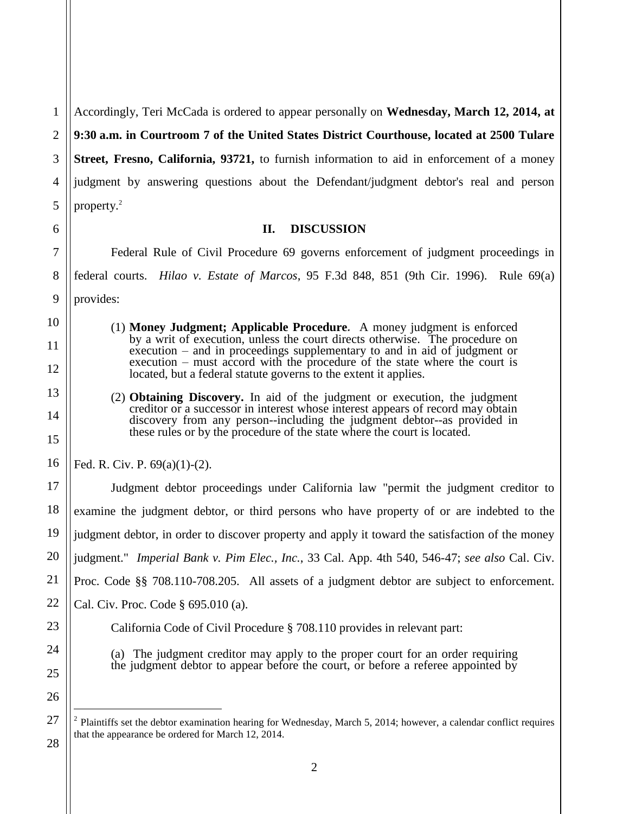1 2 3 4 5 Accordingly, Teri McCada is ordered to appear personally on **Wednesday, March 12, 2014, at 9:30 a.m. in Courtroom 7 of the United States District Courthouse, located at 2500 Tulare Street, Fresno, California, 93721,** to furnish information to aid in enforcement of a money judgment by answering questions about the Defendant/judgment debtor's real and person property. $2$ 

## **II. DISCUSSION**

Federal Rule of Civil Procedure 69 governs enforcement of judgment proceedings in federal courts. *Hilao v. Estate of Marcos*, 95 F.3d 848, 851 (9th Cir. 1996). Rule 69(a) provides:

- (1) **Money Judgment; Applicable Procedure***.* A money judgment is enforced by a writ of execution, unless the court directs otherwise. The procedure on execution – and in proceedings supplementary to and in aid of judgment or execution – must accord with the procedure of the state where the court is located, but a federal statute governs to the extent it applies.
- (2) **Obtaining Discovery.** In aid of the judgment or execution, the judgment creditor or a successor in interest whose interest appears of record may obtain discovery from any person--including the judgment debtor--as provided in these rules or by the procedure of the state where the court is located.

Fed. R. Civ. P. 69(a)(1)-(2).

Judgment debtor proceedings under California law "permit the judgment creditor to examine the judgment debtor, or third persons who have property of or are indebted to the judgment debtor, in order to discover property and apply it toward the satisfaction of the money judgment." *Imperial Bank v. Pim Elec., Inc.*, 33 Cal. App. 4th 540, 546-47; *see also* Cal. Civ. Proc. Code §§ 708.110-708.205. All assets of a judgment debtor are subject to enforcement. Cal. Civ. Proc. Code § 695.010 (a). California Code of Civil Procedure § 708.110 provides in relevant part:

(a) The judgment creditor may apply to the proper court for an order requiring the judgment debtor to appear before the court, or before a referee appointed by

 $\overline{a}$ 

6

7

8

9

10

11

 $2$  Plaintiffs set the debtor examination hearing for Wednesday, March 5, 2014; however, a calendar conflict requires that the appearance be ordered for March 12, 2014.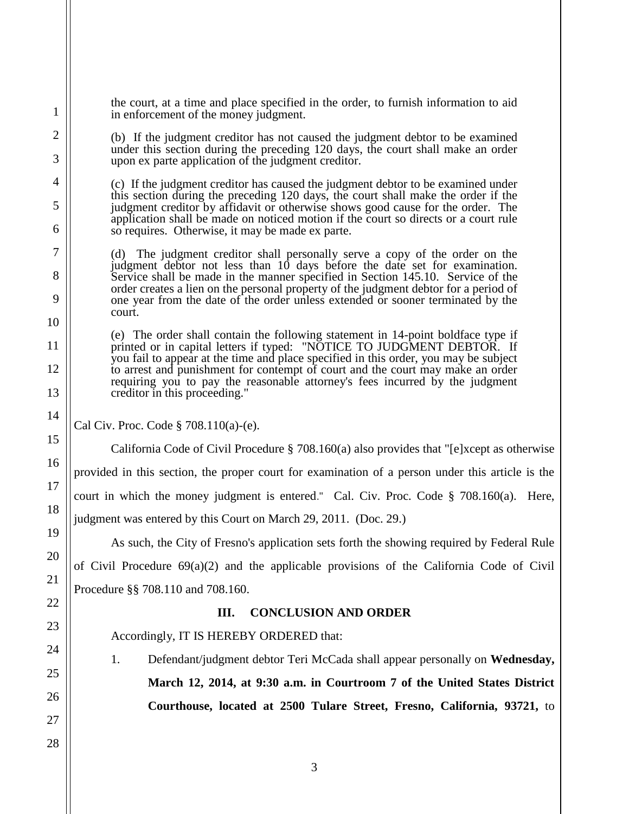the court, at a time and place specified in the order, to furnish information to aid in enforcement of the money judgment.

(b) If the judgment creditor has not caused the judgment debtor to be examined under this section during the preceding 120 days, the court shall make an order upon ex parte application of the judgment creditor.

(c) If the judgment creditor has caused the judgment debtor to be examined under this section during the preceding 120 days, the court shall make the order if the judgment creditor by affidavit or otherwise shows good cause for the order. The application shall be made on noticed motion if the court so directs or a court rule so requires. Otherwise, it may be made ex parte.

(d) The judgment creditor shall personally serve a copy of the order on the judgment debtor not less than 10 days before the date set for examination. Service shall be made in the manner specified in Section 145.10. Service of the order creates a lien on the personal property of the judgment debtor for a period of one year from the date of the order unless extended or sooner terminated by the court.

(e) The order shall contain the following statement in 14-point boldface type if printed or in capital letters if typed: "NOTICE TO JUDGMENT DEBTOR. If you fail to appear at the time and place specified in this order, you may be subject to arrest and punishment for contempt of court and the court may make an order requiring you to pay the reasonable attorney's fees incurred by the judgment creditor in this proceeding."

Cal Civ. Proc. Code § 708.110(a)-(e).

California Code of Civil Procedure § 708.160(a) also provides that "[e]xcept as otherwise provided in this section, the proper court for examination of a person under this article is the court in which the money judgment is entered." Cal. Civ. Proc. Code § 708.160(a). Here,

judgment was entered by this Court on March 29, 2011. (Doc. 29.)

As such, the City of Fresno's application sets forth the showing required by Federal Rule of Civil Procedure  $69(a)(2)$  and the applicable provisions of the California Code of Civil Procedure §§ 708.110 and 708.160.

## **III. CONCLUSION AND ORDER**

Accordingly, IT IS HEREBY ORDERED that:

1. Defendant/judgment debtor Teri McCada shall appear personally on **Wednesday, March 12, 2014, at 9:30 a.m. in Courtroom 7 of the United States District Courthouse, located at 2500 Tulare Street, Fresno, California, 93721,** to